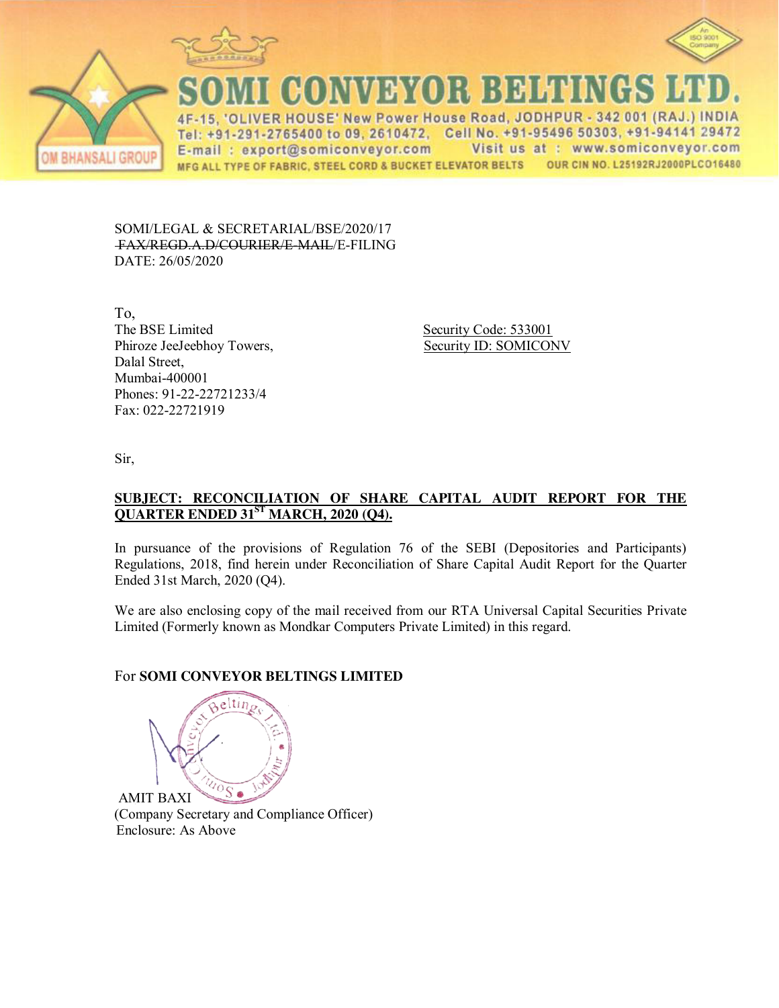





CONVEYOR BELTINGS

ER HOUSE' New Power House Road, JODHPUR - 342 001 (RAJ.) INDIA  $\Delta F$ Tel: +91-291-2765400 to 09, 2610472, Cell No. +91-95496 50303, +91-94141 29472 Visit us at : www.somiconveyor.com E-mail: export@somiconveyor.com OUR CIN NO. L25192RJ2000PLCO16480 MFG ALL TYPE OF FABRIC, STEEL CORD & BUCKET ELEVATOR BELTS

SOMI/LEGAL & SECRETARIAL/BSE/2020/17 FAX/REGD.A.D/COURIER/E-MAIL/E-FILING DATE: 26/05/2020

To, The BSE Limited Security Code: 533001 Phiroze JeeJeebhoy Towers, Security ID: SOMICONV Dalal Street, Mumbai-400001 Phones: 91-22-22721233/4 Fax: 022-22721919

Sir,

## **SUBJECT: RECONCILIATION OF SHARE CAPITAL AUDIT REPORT FOR THE QUARTER ENDED 31ST MARCH, 2020 (Q4).**

In pursuance of the provisions of Regulation 76 of the SEBI (Depositories and Participants) Regulations, 2018, find herein under Reconciliation of Share Capital Audit Report for the Quarter Ended 31st March, 2020 (Q4).

We are also enclosing copy of the mail received from our RTA Universal Capital Securities Private Limited (Formerly known as Mondkar Computers Private Limited) in this regard.

# For **SOMI CONVEYOR BELTINGS LIMITED**

 $eltin$  $\sqrt[n]{\frac{1}{S}}$ AMIT BAXI

(Company Secretary and Compliance Officer) Enclosure: As Above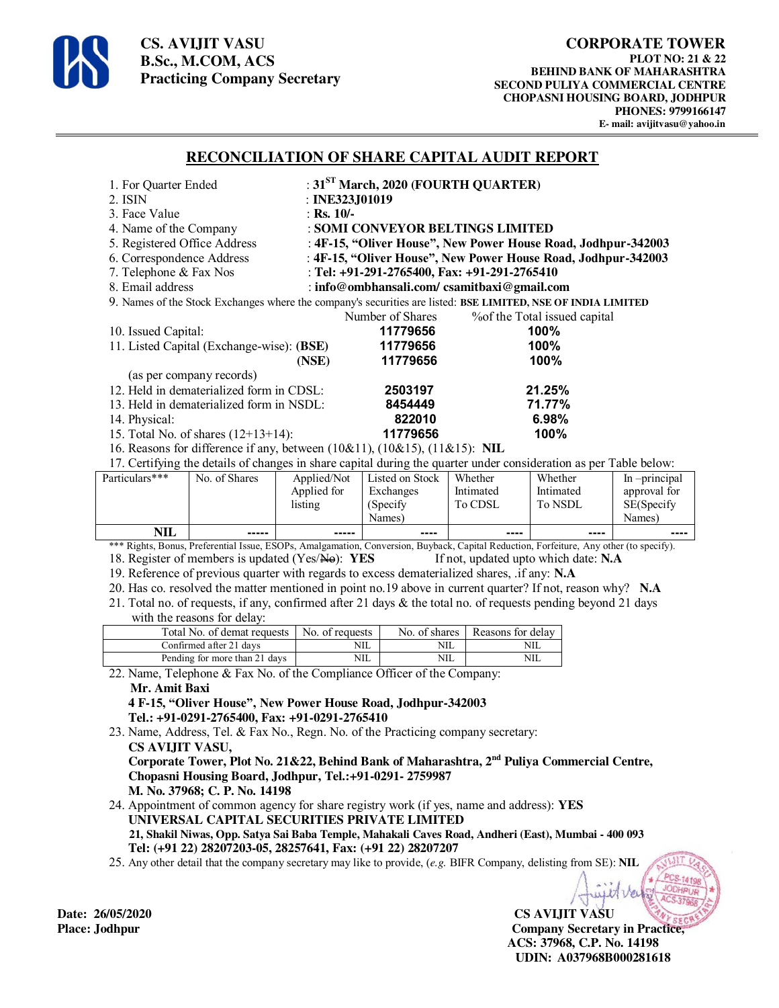

**CS. AVIJIT VASU B.Sc., M.COM, ACS Practicing Company Secretary** 

### **RECONCILIATION OF SHARE CAPITAL AUDIT REPORT**

| 1. For Quarter Ended                                                                                              |                                  | : $31ST March, 2020 (FOURTH QUARTER)$ |                                                               |         |                     |
|-------------------------------------------------------------------------------------------------------------------|----------------------------------|---------------------------------------|---------------------------------------------------------------|---------|---------------------|
| 2. ISIN                                                                                                           | : INE323J01019                   |                                       |                                                               |         |                     |
| 3. Face Value                                                                                                     | : Rs. $10/-$                     |                                       |                                                               |         |                     |
| 4. Name of the Company                                                                                            | : SOMI CONVEYOR BELTINGS LIMITED |                                       |                                                               |         |                     |
| 5. Registered Office Address                                                                                      |                                  |                                       | : 4F-15, "Oliver House", New Power House Road, Jodhpur-342003 |         |                     |
| 6. Correspondence Address                                                                                         |                                  |                                       | : 4F-15, "Oliver House", New Power House Road, Jodhpur-342003 |         |                     |
| 7. Telephone & Fax Nos                                                                                            |                                  |                                       | : Tel: $+91-291-2765400$ , Fax: $+91-291-2765410$             |         |                     |
| 8. Email address                                                                                                  |                                  |                                       | : info@ombhansali.com/ csamitbaxi@gmail.com                   |         |                     |
| 9. Names of the Stock Exchanges where the company's securities are listed: BSE LIMITED, NSE OF INDIA LIMITED      |                                  |                                       |                                                               |         |                     |
|                                                                                                                   |                                  | Number of Shares                      | % % % of the Total issued capital                             |         |                     |
| 10. Issued Capital:                                                                                               |                                  | 11779656                              | 100%                                                          |         |                     |
| 11. Listed Capital (Exchange-wise): (BSE)                                                                         |                                  | 11779656                              | 100%                                                          |         |                     |
|                                                                                                                   | (NSE)                            | 11779656                              | 100%                                                          |         |                     |
| (as per company records)                                                                                          |                                  |                                       |                                                               |         |                     |
| 12. Held in dematerialized form in CDSL:                                                                          |                                  | 2503197                               | 21.25%                                                        |         |                     |
| 13. Held in dematerialized form in NSDL:                                                                          |                                  | 8454449                               | 71.77%                                                        |         |                     |
| 14. Physical:                                                                                                     |                                  | 822010                                | 6.98%                                                         |         |                     |
| 15. Total No. of shares $(12+13+14)$ :                                                                            |                                  | 11779656                              | 100%                                                          |         |                     |
| 16. Reasons for difference if any, between $(10\&11)$ , $(10\&15)$ , $(11\&15)$ : NIL                             |                                  |                                       |                                                               |         |                     |
| 17. Certifying the details of changes in share capital during the quarter under consideration as per Table below: |                                  |                                       |                                                               |         |                     |
| $\mathsf{Particular}$<br>No of Shares                                                                             |                                  | Annlied/Not I Listed on Stock Whether |                                                               | Whather | In <i>principal</i> |

| NIL            | -----         | $- - - - -$ | ----            | ----      | ----      | ----            |
|----------------|---------------|-------------|-----------------|-----------|-----------|-----------------|
|                |               |             | Names)          |           |           | Names)          |
|                |               | listing     | (Specify        | To CDSL   | To NSDL   | SE(Specify      |
|                |               | Applied for | Exchanges       | Intimated | Intimated | approval for    |
| Particulars*** | No. of Shares | Applied/Not | Listed on Stock | Whether   | Whether   | $ln$ -principal |

\*\*\* Rights, Bonus, Preferential Issue, ESOPs, Amalgamation, Conversion, Buyback, Capital Reduction, Forfeiture, Any other (to specify).<br>18. Register of members is updated (Yes/He): YES If not, updated upto which date: N.A 18. Register of members is updated (Yes/No): YES

19. Reference of previous quarter with regards to excess dematerialized shares, .if any: **N.A**

20. Has co. resolved the matter mentioned in point no.19 above in current quarter? If not, reason why? **N.A**

21. Total no. of requests, if any, confirmed after 21 days & the total no. of requests pending beyond 21 days with the reasons for delay:

| Total No. of demat requests   | No. of requests |     | No. of shares   Reasons for delay |
|-------------------------------|-----------------|-----|-----------------------------------|
| Confirmed after 21 days       | <b>NIL</b>      | NIL | NШ                                |
| Pending for more than 21 days | NIL             | NIL | NШ                                |

22. Name, Telephone & Fax No. of the Compliance Officer of the Company:

#### **Mr. Amit Baxi**

 **4 F-15, "Oliver House", New Power House Road, Jodhpur-342003 Tel.: +91-0291-2765400, Fax: +91-0291-2765410** 

23. Name, Address, Tel. & Fax No., Regn. No. of the Practicing company secretary:  **CS AVIJIT VASU, Corporate Tower, Plot No. 21&22, Behind Bank of Maharashtra, 2nd Puliya Commercial Centre, Chopasni Housing Board, Jodhpur, Tel.:+91-0291- 2759987** 

 **M. No. 37968; C. P. No. 14198** 

24. Appointment of common agency for share registry work (if yes, name and address): **YES UNIVERSAL CAPITAL SECURITIES PRIVATE LIMITED 21, Shakil Niwas, Opp. Satya Sai Baba Temple, Mahakali Caves Road, Andheri (East), Mumbai - 400 093 Tel: (+91 22) 28207203-05, 28257641, Fax: (+91 22) 28207207**

25. Any other detail that the company secretary may like to provide, (*e.g.* BIFR Company, delisting from SE): **NIL** 

**Date: 26/05/2020 CS AVIJIT VASU Place: Jodhpur Company Secretary in Practice, ACS: 37968, C.P. No. 14198 UDIN: A037968B000281618**